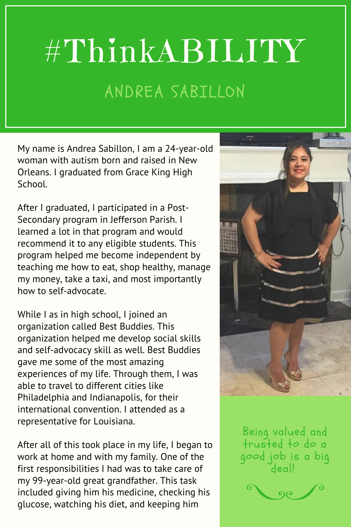## #ThinkABILITY ANDREA SABILLON

My name is Andrea Sabillon, I am a 24-year-old woman with autism born and raised in New Orleans. I graduated from Grace King High School.

After I graduated, I participated in a Post-Secondary program in Jefferson Parish. I learned a lot in that program and would recommend it to any eligible students. This program helped me become independent by teaching me how to eat, shop healthy, manage my money, take a taxi, and most importantly how to self-advocate.

While I as in high school, I joined an organization called Best Buddies. This organization helped me develop social skills and self-advocacy skill as well. Best Buddies gave me some of the most amazing experiences of my life. Through them, I was able to travel to different cities like Philadelphia and Indianapolis, for their international convention. I attended as a representative for Louisiana.

After all of this took place in my life, I began to work at home and with my family. One of the first responsibilities I had was to take care of my 99-year-old great grandfather. This task included giving him his medicine, checking his glucose, watching his diet, and keeping him



Being valued and trusted to do a good job is a big deal!